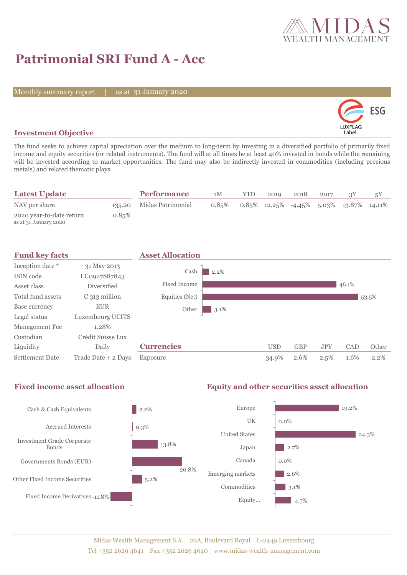

# **Patrimonial SRI Fund A - Acc**

Monthly summary report

31 January 2020



## **Investment Objective**

The fund seeks to achieve capital apreciation over the medium to long-term by investing in a diversified portfolio of primarily fixed income and equity securities (or related instruments). The fund will at all times be at least 40% invested in bonds while the remaining will be invested according to market opportunities. The fund may also be indirectly invested in commodities (including precious metals) and related thematic plays.

| <b>Latest Update</b>                              |       | <b>Performance</b>       | 1M    | <b>YTD</b> | 2019 | 2018 | 2017 |                                            |  |
|---------------------------------------------------|-------|--------------------------|-------|------------|------|------|------|--------------------------------------------|--|
| NAV per share                                     |       | 135.20 Midas Patrimonial | 0.85% |            |      |      |      | $0.85\%$ 12.25% -4.45% 5.03% 13.87% 14.11% |  |
| 2020 year-to-date return<br>as at 31 January 2020 | 0.85% |                          |       |            |      |      |      |                                            |  |



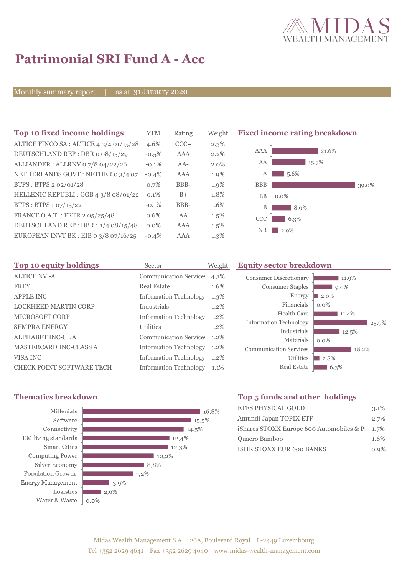

# **Patrimonial SRI Fund A - Acc**

Monthly summary report

31 January 2020

| Top 10 fixed income holdings            | YTM     | Rating | Weigh |
|-----------------------------------------|---------|--------|-------|
| ALTICE FINCO SA : ALTICE 4 3/4 01/15/28 | 4.6%    | $CCC+$ | 2.3%  |
| DEUTSCHLAND REP : DBR o 08/15/29        | $-0.5%$ | AAA    | 2.2%  |
| ALLIANDER: ALLRNV 07/8 04/22/26         | $-0.1%$ | $AA-$  | 2.0%  |
| NETHERLANDS GOVT: NETHER 0 3/4 07       | $-0.4%$ | AAA    | 1.9%  |
| BTPS: BTPS 2 02/01/28                   | 0.7%    | BBB-   | 1.9%  |
| HELLENIC REPUBLI : GGB 4 3/8 08/01/22   | $0.1\%$ | $B+$   | 1.8%  |
| BTPS: BTPS 1 07/15/22                   | $-0.1%$ | BBB-   | 1.6%  |
| FRANCE O.A.T.: FRTR 2 05/25/48          | 0.6%    | AA     | 1.5%  |
| DEUTSCHLAND REP : DBR 1 1/4 08/15/48    | $0.0\%$ | AAA    | 1.5%  |
| EUROPEAN INVT BK : EIB 0 3/8 07/16/25   | $-0.4%$ | AAA    | 1.3%  |

**Fixed income rating breakdown** 



| Top 10 equity holdings           | Sector                        | Weight  | <b>Equity sector breakdown</b> |                     |  |  |
|----------------------------------|-------------------------------|---------|--------------------------------|---------------------|--|--|
| ALTICE NV - A                    | <b>Communication Services</b> | 4.3%    | <b>Consumer Discretionary</b>  | 11.9%               |  |  |
| <b>FREY</b>                      | <b>Real Estate</b>            | 1.6%    | <b>Consumer Staples</b>        | $9.0\%$             |  |  |
| <b>APPLE INC</b>                 | <b>Information Technology</b> | $1.3\%$ | Energy                         | $\blacksquare$ 2.0% |  |  |
| <b>LOCKHEED MARTIN CORP</b>      | Industrials                   | $1.2\%$ | Financials                     | $0.0\%$             |  |  |
| <b>MICROSOFT CORP</b>            | <b>Information Technology</b> | 1.2%    | Health Care                    | 11.4%               |  |  |
| <b>SEMPRA ENERGY</b>             | <b>Utilities</b>              | $1.2\%$ | <b>Information Technology</b>  | 25.9%               |  |  |
| ALPHABET INC-CL A                | Communication Service: 1.2%   |         | Industrials                    | 12.5%               |  |  |
| <b>MASTERCARD INC-CLASS A</b>    | <b>Information Technology</b> | $1.2\%$ | Materials                      | $0.0\%$             |  |  |
|                                  |                               |         | <b>Communication Services</b>  | 18.2%               |  |  |
| VISA INC                         | <b>Information Technology</b> | $1.2\%$ | <b>Utilities</b>               | $\blacksquare$ 2.8% |  |  |
| <b>CHECK POINT SOFTWARE TECH</b> | <b>Information Technology</b> | 1.1%    | <b>Real Estate</b>             | $6.3\%$             |  |  |



# **Thematics breakdown Top 5 funds and other holdings**

| ETFS PHYSICAL GOLD                                 | 3.1% |
|----------------------------------------------------|------|
| Amundi Japan TOPIX ETF                             | 2.7% |
| iShares STOXX Europe 600 Automobiles & P $\,$ 1.7% |      |
| Quaero Bamboo                                      | 1.6% |
| <b>ISHR STOXX EUR 600 BANKS</b>                    | 0.9% |